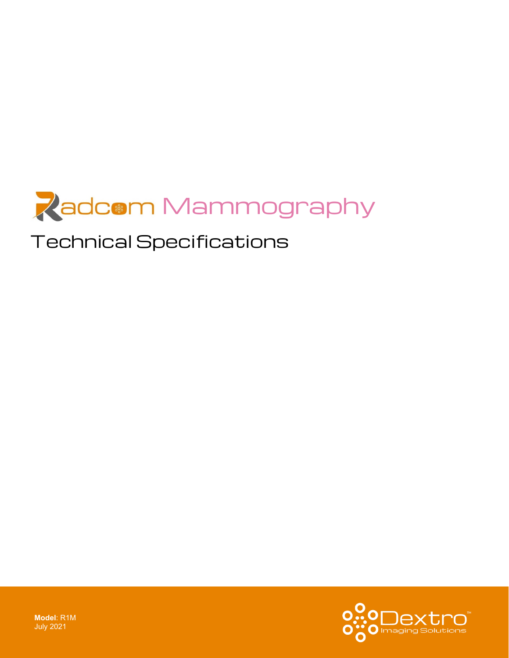

# Technical Specifications



**Model**: R1M July 2021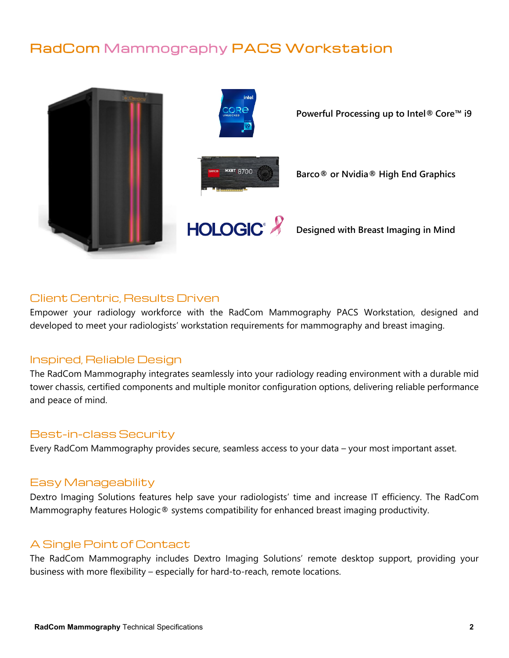## RadCom Mammography PACS Workstation



### Client Centric, Results Driven

Empower your radiology workforce with the RadCom Mammography PACS Workstation, designed and developed to meet your radiologists' workstation requirements for mammography and breast imaging.

#### Inspired, Reliable Design

The RadCom Mammography integrates seamlessly into your radiology reading environment with a durable mid tower chassis, certified components and multiple monitor configuration options, delivering reliable performance and peace of mind.

#### Best-in-class Security

Every RadCom Mammography provides secure, seamless access to your data – your most important asset.

#### Easy Manageability

Dextro Imaging Solutions features help save your radiologists' time and increase IT efficiency. The RadCom Mammography features Hologic® systems compatibility for enhanced breast imaging productivity.

#### A Single Point of Contact

The RadCom Mammography includes Dextro Imaging Solutions' remote desktop support, providing your business with more flexibility – especially for hard-to-reach, remote locations.